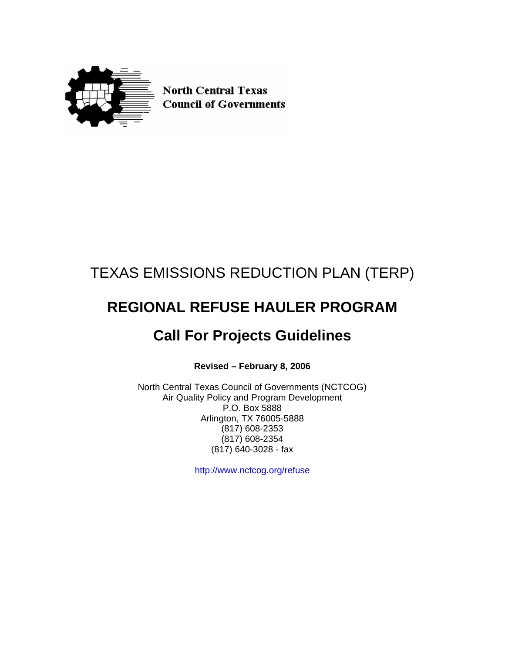

**North Central Texas Council of Governments** 

## TEXAS EMISSIONS REDUCTION PLAN (TERP)

# **REGIONAL REFUSE HAULER PROGRAM**

## **Call For Projects Guidelines**

**Revised – February 8, 2006** 

North Central Texas Council of Governments (NCTCOG) Air Quality Policy and Program Development P.O. Box 5888 Arlington, TX 76005-5888 (817) 608-2353 (817) 608-2354 (817) 640-3028 - fax

http://www.nctcog.org/refuse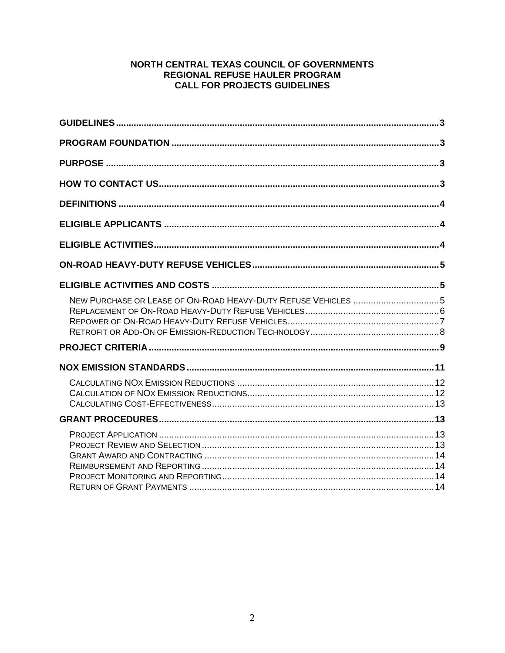## NORTH CENTRAL TEXAS COUNCIL OF GOVERNMENTS REGIONAL REFUSE HAULER PROGRAM **CALL FOR PROJECTS GUIDELINES**

| NEW PURCHASE OR LEASE OF ON-ROAD HEAVY-DUTY REFUSE VEHICLES 5 |  |
|---------------------------------------------------------------|--|
|                                                               |  |
|                                                               |  |
|                                                               |  |
|                                                               |  |
|                                                               |  |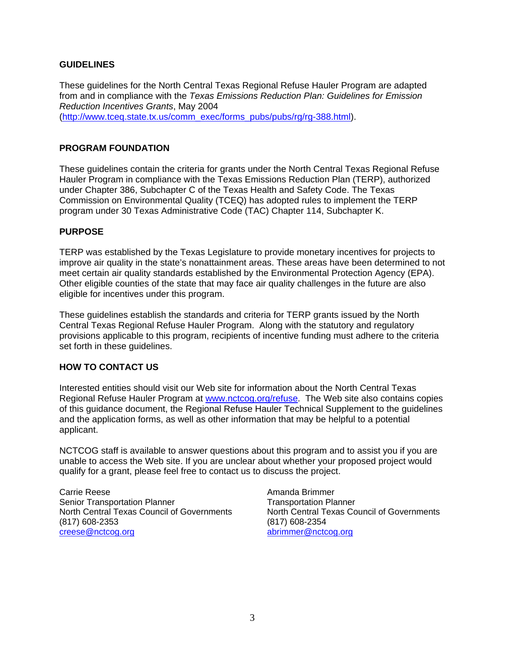## <span id="page-2-0"></span>**GUIDELINES**

These guidelines for the North Central Texas Regional Refuse Hauler Program are adapted from and in compliance with the *Texas Emissions Reduction Plan: Guidelines for Emission Reduction Incentives Grants*, May 2004 ([http://www.tceq.state.tx.us/comm\\_exec/forms\\_pubs/pubs/rg/rg-388.html](http://www.terpgrants.org/)).

#### **PROGRAM FOUNDATION**

These guidelines contain the criteria for grants under the North Central Texas Regional Refuse Hauler Program in compliance with the Texas Emissions Reduction Plan (TERP), authorized under Chapter 386, Subchapter C of the Texas Health and Safety Code. The Texas Commission on Environmental Quality (TCEQ) has adopted rules to implement the TERP program under 30 Texas Administrative Code (TAC) Chapter 114, Subchapter K.

#### **PURPOSE**

TERP was established by the Texas Legislature to provide monetary incentives for projects to improve air quality in the state's nonattainment areas. These areas have been determined to not meet certain air quality standards established by the Environmental Protection Agency (EPA). Other eligible counties of the state that may face air quality challenges in the future are also eligible for incentives under this program.

These guidelines establish the standards and criteria for TERP grants issued by the North Central Texas Regional Refuse Hauler Program. Along with the statutory and regulatory provisions applicable to this program, recipients of incentive funding must adhere to the criteria set forth in these guidelines.

#### **HOW TO CONTACT US**

Interested entities should visit our Web site for information about the North Central Texas Regional Refuse Hauler Program at [www.nctcog.org/refuse](http://www.nctcog.org/refuse). The Web site also contains copies of this guidance document, the Regional Refuse Hauler Technical Supplement to the guidelines and the application forms, as well as other information that may be helpful to a potential applicant.

NCTCOG staff is available to answer questions about this program and to assist you if you are unable to access the Web site. If you are unclear about whether your proposed project would qualify for a grant, please feel free to contact us to discuss the project.

Carrie Reese Senior Transportation Planner North Central Texas Council of Governments (817) 608-2353 [creese@nctcog.org](mailto:creese@nctcog.org)

Amanda Brimmer Transportation Planner North Central Texas Council of Governments (817) 608-2354 [abrimmer@nctcog.org](mailto:abrimmer@nctcog.org)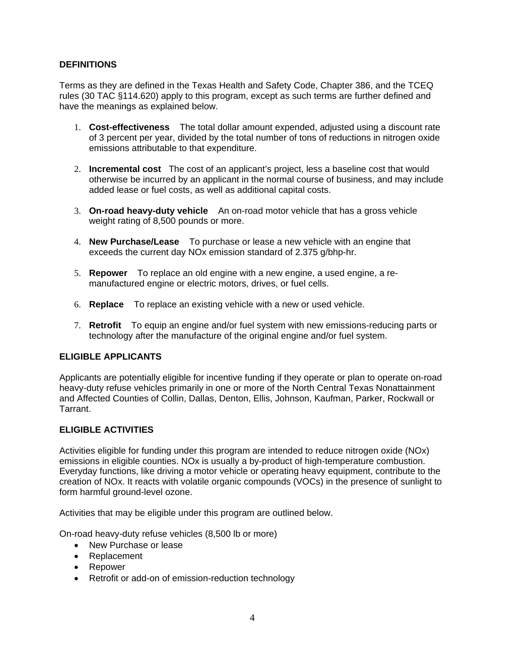## <span id="page-3-0"></span>**DEFINITIONS**

Terms as they are defined in the Texas Health and Safety Code, Chapter 386, and the TCEQ rules (30 TAC §114.620) apply to this program, except as such terms are further defined and have the meanings as explained below.

- 1. **Cost-effectiveness** The total dollar amount expended, adjusted using a discount rate of 3 percent per year, divided by the total number of tons of reductions in nitrogen oxide emissions attributable to that expenditure.
- 2. **Incremental cost** The cost of an applicant's project, less a baseline cost that would otherwise be incurred by an applicant in the normal course of business, and may include added lease or fuel costs, as well as additional capital costs.
- 3. **On-road heavy-duty vehicle** An on-road motor vehicle that has a gross vehicle weight rating of 8,500 pounds or more.
- 4. **New Purchase/Lease** To purchase or lease a new vehicle with an engine that exceeds the current day NOx emission standard of 2.375 g/bhp-hr.
- 5. **Repower** To replace an old engine with a new engine, a used engine, a remanufactured engine or electric motors, drives, or fuel cells.
- 6. **Replace** To replace an existing vehicle with a new or used vehicle.
- 7. **Retrofit** To equip an engine and/or fuel system with new emissions-reducing parts or technology after the manufacture of the original engine and/or fuel system.

## **ELIGIBLE APPLICANTS**

Applicants are potentially eligible for incentive funding if they operate or plan to operate on-road heavy-duty refuse vehicles primarily in one or more of the North Central Texas Nonattainment and Affected Counties of Collin, Dallas, Denton, Ellis, Johnson, Kaufman, Parker, Rockwall or Tarrant.

## **ELIGIBLE ACTIVITIES**

Activities eligible for funding under this program are intended to reduce nitrogen oxide (NOx) emissions in eligible counties. NOx is usually a by-product of high-temperature combustion. Everyday functions, like driving a motor vehicle or operating heavy equipment, contribute to the creation of NOx. It reacts with volatile organic compounds (VOCs) in the presence of sunlight to form harmful ground-level ozone.

Activities that may be eligible under this program are outlined below.

On-road heavy-duty refuse vehicles (8,500 lb or more)

- New Purchase or lease
- Replacement
- Repower
- Retrofit or add-on of emission-reduction technology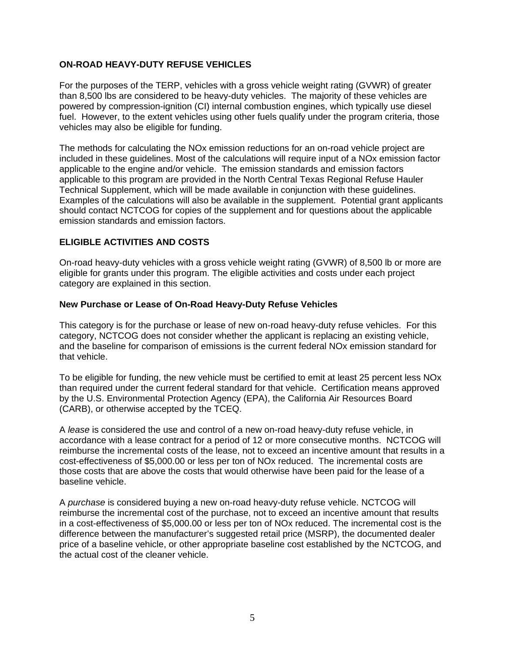## <span id="page-4-0"></span>**ON-ROAD HEAVY-DUTY REFUSE VEHICLES**

For the purposes of the TERP, vehicles with a gross vehicle weight rating (GVWR) of greater than 8,500 lbs are considered to be heavy-duty vehicles. The majority of these vehicles are powered by compression-ignition (CI) internal combustion engines, which typically use diesel fuel. However, to the extent vehicles using other fuels qualify under the program criteria, those vehicles may also be eligible for funding.

The methods for calculating the NOx emission reductions for an on-road vehicle project are included in these guidelines. Most of the calculations will require input of a NOx emission factor applicable to the engine and/or vehicle. The emission standards and emission factors applicable to this program are provided in the North Central Texas Regional Refuse Hauler Technical Supplement, which will be made available in conjunction with these guidelines. Examples of the calculations will also be available in the supplement. Potential grant applicants should contact NCTCOG for copies of the supplement and for questions about the applicable emission standards and emission factors.

## **ELIGIBLE ACTIVITIES AND COSTS**

On-road heavy-duty vehicles with a gross vehicle weight rating (GVWR) of 8,500 lb or more are eligible for grants under this program. The eligible activities and costs under each project category are explained in this section.

## **New Purchase or Lease of On-Road Heavy-Duty Refuse Vehicles**

This category is for the purchase or lease of new on-road heavy-duty refuse vehicles. For this category, NCTCOG does not consider whether the applicant is replacing an existing vehicle, and the baseline for comparison of emissions is the current federal NOx emission standard for that vehicle.

To be eligible for funding, the new vehicle must be certified to emit at least 25 percent less NOx than required under the current federal standard for that vehicle. Certification means approved by the U.S. Environmental Protection Agency (EPA), the California Air Resources Board (CARB), or otherwise accepted by the TCEQ.

A *lease* is considered the use and control of a new on-road heavy-duty refuse vehicle, in accordance with a lease contract for a period of 12 or more consecutive months. NCTCOG will reimburse the incremental costs of the lease, not to exceed an incentive amount that results in a cost-effectiveness of \$5,000.00 or less per ton of NOx reduced. The incremental costs are those costs that are above the costs that would otherwise have been paid for the lease of a baseline vehicle.

A *purchase* is considered buying a new on-road heavy-duty refuse vehicle. NCTCOG will reimburse the incremental cost of the purchase, not to exceed an incentive amount that results in a cost-effectiveness of \$5,000.00 or less per ton of NOx reduced. The incremental cost is the difference between the manufacturer's suggested retail price (MSRP), the documented dealer price of a baseline vehicle, or other appropriate baseline cost established by the NCTCOG, and the actual cost of the cleaner vehicle.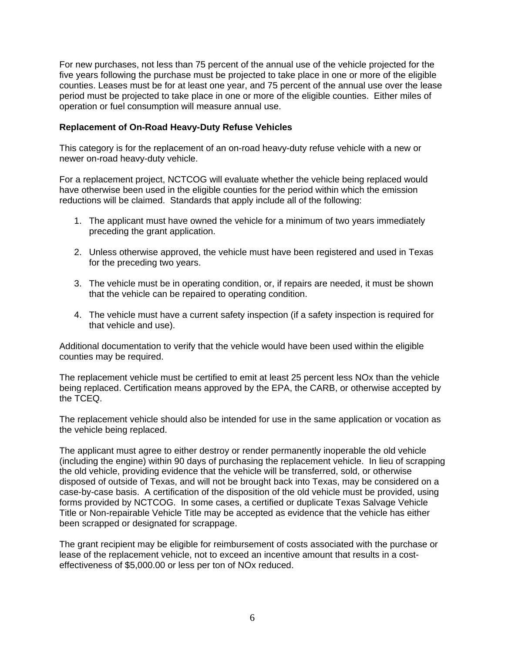<span id="page-5-0"></span>For new purchases, not less than 75 percent of the annual use of the vehicle projected for the five years following the purchase must be projected to take place in one or more of the eligible counties. Leases must be for at least one year, and 75 percent of the annual use over the lease period must be projected to take place in one or more of the eligible counties. Either miles of operation or fuel consumption will measure annual use.

#### **Replacement of On-Road Heavy-Duty Refuse Vehicles**

This category is for the replacement of an on-road heavy-duty refuse vehicle with a new or newer on-road heavy-duty vehicle.

For a replacement project, NCTCOG will evaluate whether the vehicle being replaced would have otherwise been used in the eligible counties for the period within which the emission reductions will be claimed. Standards that apply include all of the following:

- 1. The applicant must have owned the vehicle for a minimum of two years immediately preceding the grant application.
- 2. Unless otherwise approved, the vehicle must have been registered and used in Texas for the preceding two years.
- 3. The vehicle must be in operating condition, or, if repairs are needed, it must be shown that the vehicle can be repaired to operating condition.
- 4. The vehicle must have a current safety inspection (if a safety inspection is required for that vehicle and use).

Additional documentation to verify that the vehicle would have been used within the eligible counties may be required.

The replacement vehicle must be certified to emit at least 25 percent less NOx than the vehicle being replaced. Certification means approved by the EPA, the CARB, or otherwise accepted by the TCEQ.

The replacement vehicle should also be intended for use in the same application or vocation as the vehicle being replaced.

The applicant must agree to either destroy or render permanently inoperable the old vehicle (including the engine) within 90 days of purchasing the replacement vehicle. In lieu of scrapping the old vehicle, providing evidence that the vehicle will be transferred, sold, or otherwise disposed of outside of Texas, and will not be brought back into Texas, may be considered on a case-by-case basis. A certification of the disposition of the old vehicle must be provided, using forms provided by NCTCOG. In some cases, a certified or duplicate Texas Salvage Vehicle Title or Non-repairable Vehicle Title may be accepted as evidence that the vehicle has either been scrapped or designated for scrappage.

The grant recipient may be eligible for reimbursement of costs associated with the purchase or lease of the replacement vehicle, not to exceed an incentive amount that results in a costeffectiveness of \$5,000.00 or less per ton of NOx reduced.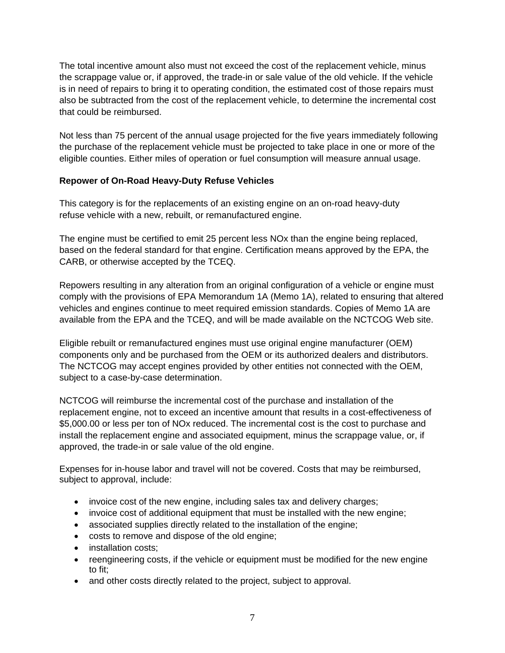<span id="page-6-0"></span>The total incentive amount also must not exceed the cost of the replacement vehicle, minus the scrappage value or, if approved, the trade-in or sale value of the old vehicle. If the vehicle is in need of repairs to bring it to operating condition, the estimated cost of those repairs must also be subtracted from the cost of the replacement vehicle, to determine the incremental cost that could be reimbursed.

Not less than 75 percent of the annual usage projected for the five years immediately following the purchase of the replacement vehicle must be projected to take place in one or more of the eligible counties. Either miles of operation or fuel consumption will measure annual usage.

## **Repower of On-Road Heavy-Duty Refuse Vehicles**

This category is for the replacements of an existing engine on an on-road heavy-duty refuse vehicle with a new, rebuilt, or remanufactured engine.

The engine must be certified to emit 25 percent less NOx than the engine being replaced, based on the federal standard for that engine. Certification means approved by the EPA, the CARB, or otherwise accepted by the TCEQ.

Repowers resulting in any alteration from an original configuration of a vehicle or engine must comply with the provisions of EPA Memorandum 1A (Memo 1A), related to ensuring that altered vehicles and engines continue to meet required emission standards. Copies of Memo 1A are available from the EPA and the TCEQ, and will be made available on the NCTCOG Web site.

Eligible rebuilt or remanufactured engines must use original engine manufacturer (OEM) components only and be purchased from the OEM or its authorized dealers and distributors. The NCTCOG may accept engines provided by other entities not connected with the OEM, subject to a case-by-case determination.

NCTCOG will reimburse the incremental cost of the purchase and installation of the replacement engine, not to exceed an incentive amount that results in a cost-effectiveness of \$5,000.00 or less per ton of NOx reduced. The incremental cost is the cost to purchase and install the replacement engine and associated equipment, minus the scrappage value, or, if approved, the trade-in or sale value of the old engine.

Expenses for in-house labor and travel will not be covered. Costs that may be reimbursed, subject to approval, include:

- invoice cost of the new engine, including sales tax and delivery charges;
- invoice cost of additional equipment that must be installed with the new engine;
- associated supplies directly related to the installation of the engine;
- costs to remove and dispose of the old engine;
- installation costs;
- reengineering costs, if the vehicle or equipment must be modified for the new engine to fit;
- and other costs directly related to the project, subject to approval.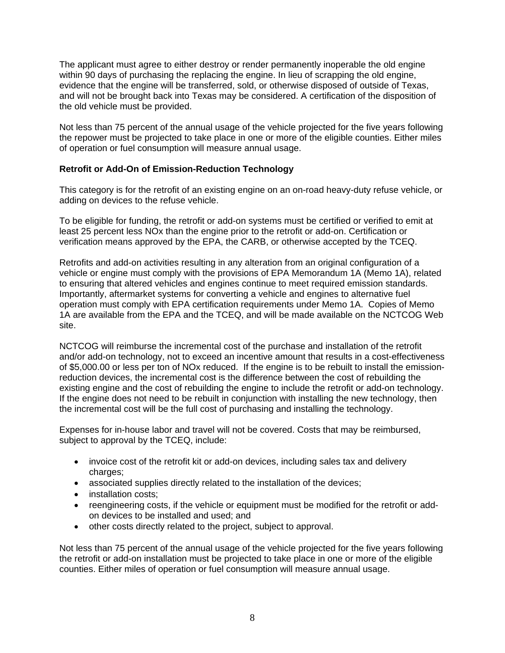<span id="page-7-0"></span>The applicant must agree to either destroy or render permanently inoperable the old engine within 90 days of purchasing the replacing the engine. In lieu of scrapping the old engine, evidence that the engine will be transferred, sold, or otherwise disposed of outside of Texas, and will not be brought back into Texas may be considered. A certification of the disposition of the old vehicle must be provided.

Not less than 75 percent of the annual usage of the vehicle projected for the five years following the repower must be projected to take place in one or more of the eligible counties. Either miles of operation or fuel consumption will measure annual usage.

## **Retrofit or Add-On of Emission-Reduction Technology**

This category is for the retrofit of an existing engine on an on-road heavy-duty refuse vehicle, or adding on devices to the refuse vehicle.

To be eligible for funding, the retrofit or add-on systems must be certified or verified to emit at least 25 percent less NOx than the engine prior to the retrofit or add-on. Certification or verification means approved by the EPA, the CARB, or otherwise accepted by the TCEQ.

Retrofits and add-on activities resulting in any alteration from an original configuration of a vehicle or engine must comply with the provisions of EPA Memorandum 1A (Memo 1A), related to ensuring that altered vehicles and engines continue to meet required emission standards. Importantly, aftermarket systems for converting a vehicle and engines to alternative fuel operation must comply with EPA certification requirements under Memo 1A. Copies of Memo 1A are available from the EPA and the TCEQ, and will be made available on the NCTCOG Web site.

NCTCOG will reimburse the incremental cost of the purchase and installation of the retrofit and/or add-on technology, not to exceed an incentive amount that results in a cost-effectiveness of \$5,000.00 or less per ton of NOx reduced. If the engine is to be rebuilt to install the emissionreduction devices, the incremental cost is the difference between the cost of rebuilding the existing engine and the cost of rebuilding the engine to include the retrofit or add-on technology. If the engine does not need to be rebuilt in conjunction with installing the new technology, then the incremental cost will be the full cost of purchasing and installing the technology.

Expenses for in-house labor and travel will not be covered. Costs that may be reimbursed, subject to approval by the TCEQ, include:

- invoice cost of the retrofit kit or add-on devices, including sales tax and delivery charges;
- associated supplies directly related to the installation of the devices;
- installation costs:
- reengineering costs, if the vehicle or equipment must be modified for the retrofit or addon devices to be installed and used; and
- other costs directly related to the project, subject to approval.

Not less than 75 percent of the annual usage of the vehicle projected for the five years following the retrofit or add-on installation must be projected to take place in one or more of the eligible counties. Either miles of operation or fuel consumption will measure annual usage.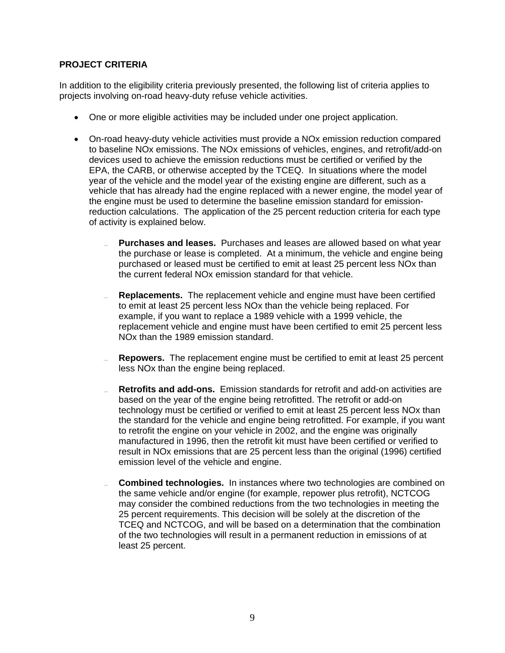## <span id="page-8-0"></span>**PROJECT CRITERIA**

In addition to the eligibility criteria previously presented, the following list of criteria applies to projects involving on-road heavy-duty refuse vehicle activities.

- One or more eligible activities may be included under one project application.
- On-road heavy-duty vehicle activities must provide a NOx emission reduction compared to baseline NOx emissions. The NOx emissions of vehicles, engines, and retrofit/add-on devices used to achieve the emission reductions must be certified or verified by the EPA, the CARB, or otherwise accepted by the TCEQ. In situations where the model year of the vehicle and the model year of the existing engine are different, such as a vehicle that has already had the engine replaced with a newer engine, the model year of the engine must be used to determine the baseline emission standard for emissionreduction calculations. The application of the 25 percent reduction criteria for each type of activity is explained below.
	- **Purchases and leases.** Purchases and leases are allowed based on what year the purchase or lease is completed. At a minimum, the vehicle and engine being purchased or leased must be certified to emit at least 25 percent less NOx than the current federal NOx emission standard for that vehicle.
	- **Replacements.** The replacement vehicle and engine must have been certified to emit at least 25 percent less NOx than the vehicle being replaced. For example, if you want to replace a 1989 vehicle with a 1999 vehicle, the replacement vehicle and engine must have been certified to emit 25 percent less NOx than the 1989 emission standard.
	- **Repowers.** The replacement engine must be certified to emit at least 25 percent less NOx than the engine being replaced.
	- **Retrofits and add-ons.** Emission standards for retrofit and add-on activities are based on the year of the engine being retrofitted. The retrofit or add-on technology must be certified or verified to emit at least 25 percent less NOx than the standard for the vehicle and engine being retrofitted. For example, if you want to retrofit the engine on your vehicle in 2002, and the engine was originally manufactured in 1996, then the retrofit kit must have been certified or verified to result in NOx emissions that are 25 percent less than the original (1996) certified emission level of the vehicle and engine.
	- **Combined technologies.** In instances where two technologies are combined on the same vehicle and/or engine (for example, repower plus retrofit), NCTCOG may consider the combined reductions from the two technologies in meeting the 25 percent requirements. This decision will be solely at the discretion of the TCEQ and NCTCOG, and will be based on a determination that the combination of the two technologies will result in a permanent reduction in emissions of at least 25 percent.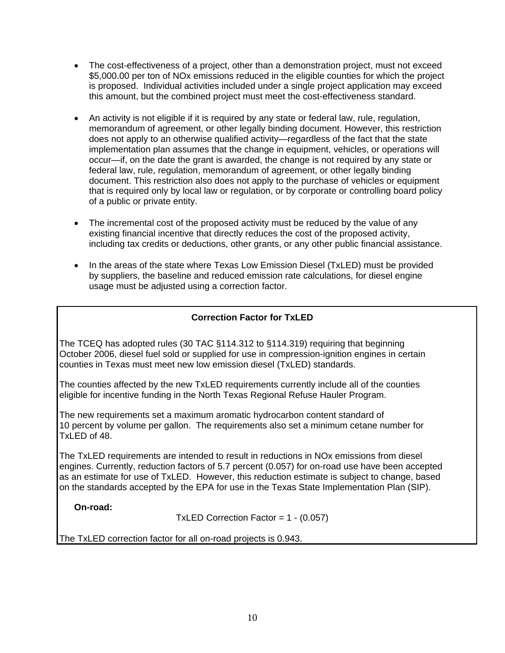- The cost-effectiveness of a project, other than a demonstration project, must not exceed \$5,000.00 per ton of NOx emissions reduced in the eligible counties for which the project is proposed. Individual activities included under a single project application may exceed this amount, but the combined project must meet the cost-effectiveness standard.
- An activity is not eligible if it is required by any state or federal law, rule, regulation, memorandum of agreement, or other legally binding document. However, this restriction does not apply to an otherwise qualified activity—regardless of the fact that the state implementation plan assumes that the change in equipment, vehicles, or operations will occur—if, on the date the grant is awarded, the change is not required by any state or federal law, rule, regulation, memorandum of agreement, or other legally binding document. This restriction also does not apply to the purchase of vehicles or equipment that is required only by local law or regulation, or by corporate or controlling board policy of a public or private entity.
- The incremental cost of the proposed activity must be reduced by the value of any existing financial incentive that directly reduces the cost of the proposed activity, including tax credits or deductions, other grants, or any other public financial assistance.
- In the areas of the state where Texas Low Emission Diesel (TxLED) must be provided by suppliers, the baseline and reduced emission rate calculations, for diesel engine usage must be adjusted using a correction factor.

## **Correction Factor for TxLED**

The TCEQ has adopted rules (30 TAC §114.312 to §114.319) requiring that beginning October 2006, diesel fuel sold or supplied for use in compression-ignition engines in certain counties in Texas must meet new low emission diesel (TxLED) standards.

The counties affected by the new TxLED requirements currently include all of the counties eligible for incentive funding in the North Texas Regional Refuse Hauler Program.

The new requirements set a maximum aromatic hydrocarbon content standard of 10 percent by volume per gallon. The requirements also set a minimum cetane number for TxLED of 48.

The TxLED requirements are intended to result in reductions in NOx emissions from diesel engines. Currently, reduction factors of 5.7 percent (0.057) for on-road use have been accepted as an estimate for use of TxLED. However, this reduction estimate is subject to change, based on the standards accepted by the EPA for use in the Texas State Implementation Plan (SIP).

**On-road:** 

TxLED Correction Factor = 1 - (0.057)

The TxLED correction factor for all on-road projects is 0.943.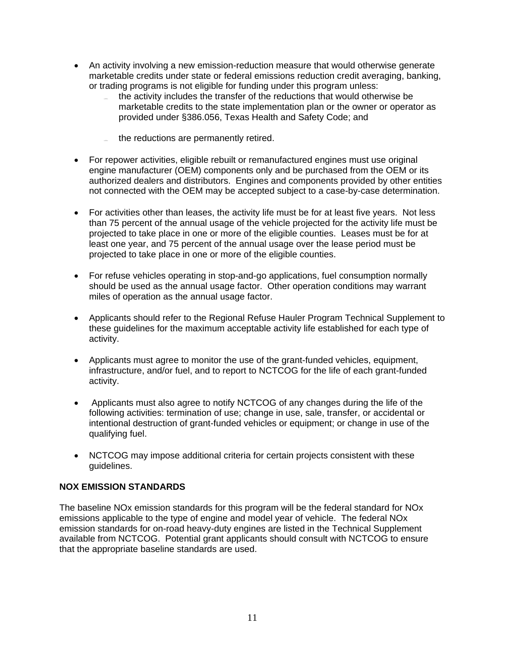- <span id="page-10-0"></span>• An activity involving a new emission-reduction measure that would otherwise generate marketable credits under state or federal emissions reduction credit averaging, banking, or trading programs is not eligible for funding under this program unless:
	- the activity includes the transfer of the reductions that would otherwise be marketable credits to the state implementation plan or the owner or operator as provided under §386.056, Texas Health and Safety Code; and
	- the reductions are permanently retired.
- For repower activities, eligible rebuilt or remanufactured engines must use original engine manufacturer (OEM) components only and be purchased from the OEM or its authorized dealers and distributors. Engines and components provided by other entities not connected with the OEM may be accepted subject to a case-by-case determination.
- For activities other than leases, the activity life must be for at least five years. Not less than 75 percent of the annual usage of the vehicle projected for the activity life must be projected to take place in one or more of the eligible counties. Leases must be for at least one year, and 75 percent of the annual usage over the lease period must be projected to take place in one or more of the eligible counties.
- For refuse vehicles operating in stop-and-go applications, fuel consumption normally should be used as the annual usage factor. Other operation conditions may warrant miles of operation as the annual usage factor.
- Applicants should refer to the Regional Refuse Hauler Program Technical Supplement to these guidelines for the maximum acceptable activity life established for each type of activity.
- Applicants must agree to monitor the use of the grant-funded vehicles, equipment, infrastructure, and/or fuel, and to report to NCTCOG for the life of each grant-funded activity.
- Applicants must also agree to notify NCTCOG of any changes during the life of the following activities: termination of use; change in use, sale, transfer, or accidental or intentional destruction of grant-funded vehicles or equipment; or change in use of the qualifying fuel.
- NCTCOG may impose additional criteria for certain projects consistent with these guidelines.

## **NOX EMISSION STANDARDS**

The baseline NOx emission standards for this program will be the federal standard for NOx emissions applicable to the type of engine and model year of vehicle. The federal NOx emission standards for on-road heavy-duty engines are listed in the Technical Supplement available from NCTCOG. Potential grant applicants should consult with NCTCOG to ensure that the appropriate baseline standards are used.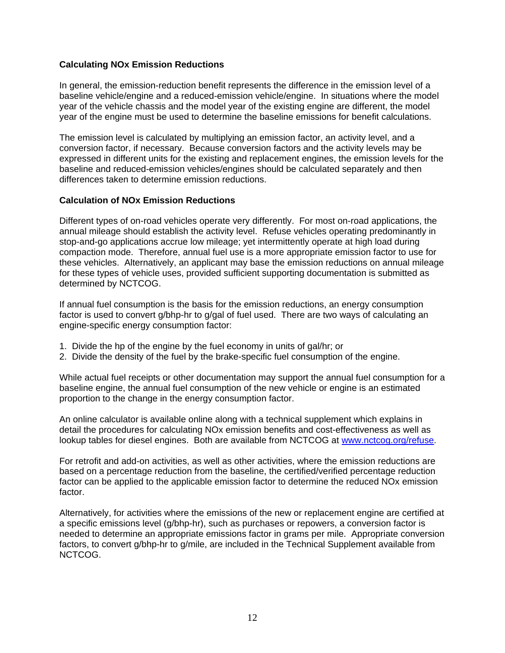## <span id="page-11-0"></span>**Calculating NOx Emission Reductions**

In general, the emission-reduction benefit represents the difference in the emission level of a baseline vehicle/engine and a reduced-emission vehicle/engine. In situations where the model year of the vehicle chassis and the model year of the existing engine are different, the model year of the engine must be used to determine the baseline emissions for benefit calculations.

The emission level is calculated by multiplying an emission factor, an activity level, and a conversion factor, if necessary. Because conversion factors and the activity levels may be expressed in different units for the existing and replacement engines, the emission levels for the baseline and reduced-emission vehicles/engines should be calculated separately and then differences taken to determine emission reductions.

#### **Calculation of NOx Emission Reductions**

Different types of on-road vehicles operate very differently. For most on-road applications, the annual mileage should establish the activity level. Refuse vehicles operating predominantly in stop-and-go applications accrue low mileage; yet intermittently operate at high load during compaction mode. Therefore, annual fuel use is a more appropriate emission factor to use for these vehicles. Alternatively, an applicant may base the emission reductions on annual mileage for these types of vehicle uses, provided sufficient supporting documentation is submitted as determined by NCTCOG.

If annual fuel consumption is the basis for the emission reductions, an energy consumption factor is used to convert g/bhp-hr to g/gal of fuel used. There are two ways of calculating an engine-specific energy consumption factor:

- 1. Divide the hp of the engine by the fuel economy in units of gal/hr; or
- 2. Divide the density of the fuel by the brake-specific fuel consumption of the engine.

While actual fuel receipts or other documentation may support the annual fuel consumption for a baseline engine, the annual fuel consumption of the new vehicle or engine is an estimated proportion to the change in the energy consumption factor.

An online calculator is available online along with a technical supplement which explains in detail the procedures for calculating NOx emission benefits and cost-effectiveness as well as lookup tables for diesel engines. Both are available from NCTCOG at [www.nctcog.org/refuse](http://www.nctcog.org/refuse).

For retrofit and add-on activities, as well as other activities, where the emission reductions are based on a percentage reduction from the baseline, the certified/verified percentage reduction factor can be applied to the applicable emission factor to determine the reduced NOx emission factor.

Alternatively, for activities where the emissions of the new or replacement engine are certified at a specific emissions level (g/bhp-hr), such as purchases or repowers, a conversion factor is needed to determine an appropriate emissions factor in grams per mile. Appropriate conversion factors, to convert g/bhp-hr to g/mile, are included in the Technical Supplement available from NCTCOG.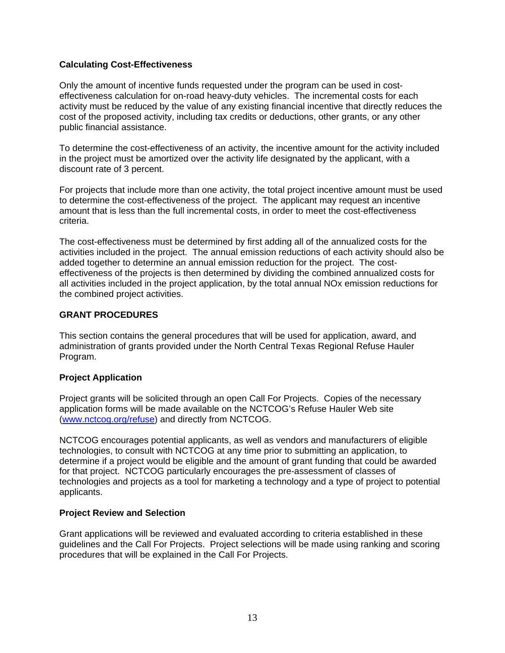## <span id="page-12-0"></span>**Calculating Cost-Effectiveness**

Only the amount of incentive funds requested under the program can be used in costeffectiveness calculation for on-road heavy-duty vehicles. The incremental costs for each activity must be reduced by the value of any existing financial incentive that directly reduces the cost of the proposed activity, including tax credits or deductions, other grants, or any other public financial assistance.

To determine the cost-effectiveness of an activity, the incentive amount for the activity included in the project must be amortized over the activity life designated by the applicant, with a discount rate of 3 percent.

For projects that include more than one activity, the total project incentive amount must be used to determine the cost-effectiveness of the project. The applicant may request an incentive amount that is less than the full incremental costs, in order to meet the cost-effectiveness criteria.

The cost-effectiveness must be determined by first adding all of the annualized costs for the activities included in the project. The annual emission reductions of each activity should also be added together to determine an annual emission reduction for the project. The costeffectiveness of the projects is then determined by dividing the combined annualized costs for all activities included in the project application, by the total annual NOx emission reductions for the combined project activities.

## **GRANT PROCEDURES**

This section contains the general procedures that will be used for application, award, and administration of grants provided under the North Central Texas Regional Refuse Hauler Program.

## **Project Application**

Project grants will be solicited through an open Call For Projects. Copies of the necessary application forms will be made available on the NCTCOG's Refuse Hauler Web site ([www.nctcog.org/refuse\)](http://www.nctcog.org/refuse) and directly from NCTCOG.

NCTCOG encourages potential applicants, as well as vendors and manufacturers of eligible technologies, to consult with NCTCOG at any time prior to submitting an application, to determine if a project would be eligible and the amount of grant funding that could be awarded for that project. NCTCOG particularly encourages the pre-assessment of classes of technologies and projects as a tool for marketing a technology and a type of project to potential applicants.

## **Project Review and Selection**

Grant applications will be reviewed and evaluated according to criteria established in these guidelines and the Call For Projects. Project selections will be made using ranking and scoring procedures that will be explained in the Call For Projects.